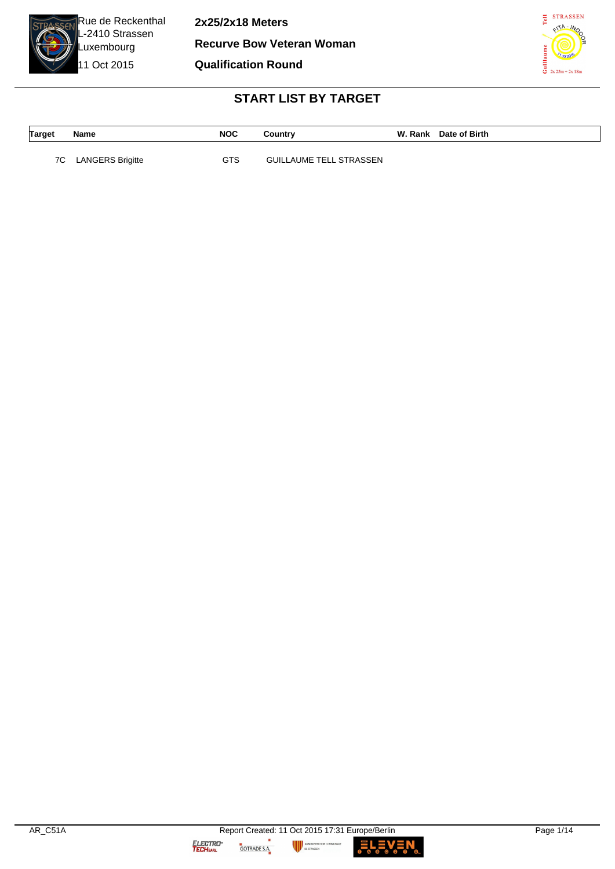

**2x25/2x18 Meters Recurve Bow Veteran Woman**

**Qualification Round**



# **START LIST BY TARGET**

| Target | Name                    | <b>NOC</b> | Country                        | W. Rank Date of Birth |
|--------|-------------------------|------------|--------------------------------|-----------------------|
|        |                         |            |                                |                       |
| 7C     | <b>LANGERS Brigitte</b> | GTS        | <b>GUILLAUME TELL STRASSEN</b> |                       |

ш

GOTRADE S.A.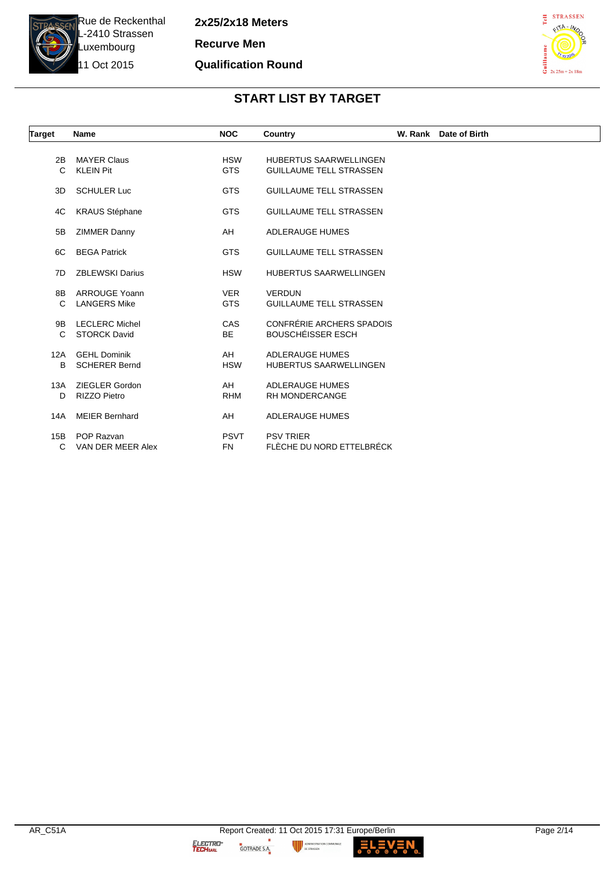

**2x25/2x18 Meters Recurve Men Qualification Round**



# **START LIST BY TARGET**

| Target   | <b>Name</b>                                  | <b>NOC</b>               | Country                                                         | W. Rank Date of Birth |
|----------|----------------------------------------------|--------------------------|-----------------------------------------------------------------|-----------------------|
| 2B<br>C  | <b>MAYER Claus</b><br><b>KLEIN Pit</b>       | <b>HSW</b><br><b>GTS</b> | <b>HUBERTUS SAARWELLINGEN</b><br><b>GUILLAUME TELL STRASSEN</b> |                       |
| 3D       | <b>SCHULER Luc</b>                           | <b>GTS</b>               | <b>GUILLAUME TELL STRASSEN</b>                                  |                       |
| 4C       | <b>KRAUS Stéphane</b>                        | <b>GTS</b>               | <b>GUILLAUME TELL STRASSEN</b>                                  |                       |
| 5B       | <b>ZIMMER Danny</b>                          | AH                       | <b>ADLERAUGE HUMES</b>                                          |                       |
| 6C       | <b>BEGA Patrick</b>                          | <b>GTS</b>               | <b>GUILLAUME TELL STRASSEN</b>                                  |                       |
| 7D       | <b>ZBLEWSKI Darius</b>                       | <b>HSW</b>               | <b>HUBERTUS SAARWELLINGEN</b>                                   |                       |
| 8B<br>C  | <b>ARROUGE Yoann</b><br><b>LANGERS Mike</b>  | <b>VER</b><br><b>GTS</b> | <b>VERDUN</b><br><b>GUILLAUME TELL STRASSEN</b>                 |                       |
| 9B<br>C  | <b>LECLERC Michel</b><br><b>STORCK David</b> | <b>CAS</b><br><b>BE</b>  | CONFRÉRIE ARCHERS SPADOIS<br><b>BOUSCHÉISSER ESCH</b>           |                       |
| 12A<br>B | <b>GEHL Dominik</b><br><b>SCHERER Bernd</b>  | AH<br><b>HSW</b>         | <b>ADLERAUGE HUMES</b><br><b>HUBERTUS SAARWELLINGEN</b>         |                       |
| 13A<br>D | ZIEGLER Gordon<br><b>RIZZO Pietro</b>        | AH<br><b>RHM</b>         | <b>ADLERAUGE HUMES</b><br><b>RH MONDERCANGE</b>                 |                       |
| 14A      | <b>MEIER Bernhard</b>                        | AH                       | <b>ADLERAUGE HUMES</b>                                          |                       |
| 15B<br>C | POP Razvan<br>VAN DER MEER Alex              | <b>PSVT</b><br><b>FN</b> | <b>PSV TRIER</b><br>FLÈCHE DU NORD ETTELBRÉCK                   |                       |

GOTRADE S.A.

**fUNALE** 

п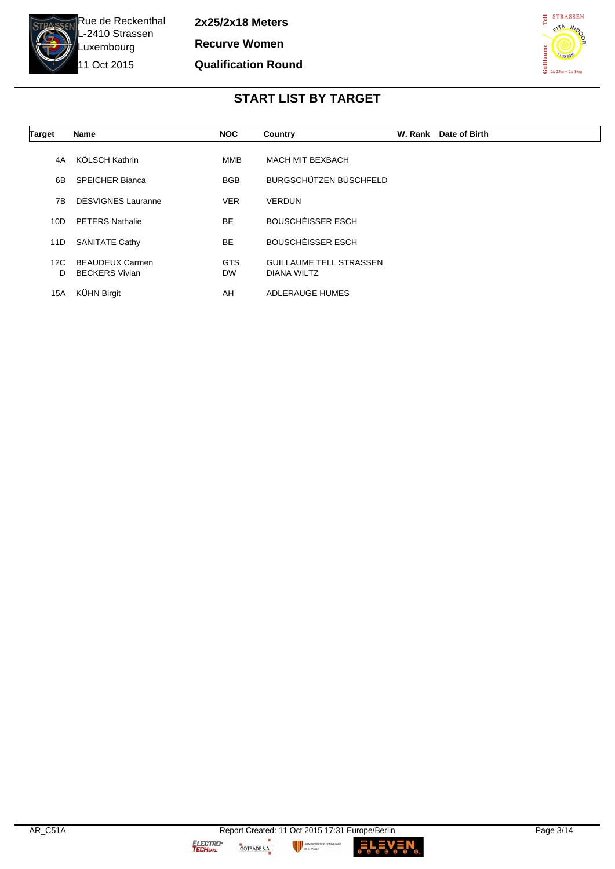

**2x25/2x18 Meters Recurve Women Qualification Round**



# **START LIST BY TARGET**

| Target   | <b>Name</b>                                     | <b>NOC</b>              | Country                                       | W. Rank | Date of Birth |
|----------|-------------------------------------------------|-------------------------|-----------------------------------------------|---------|---------------|
| 4A       | KÖLSCH Kathrin                                  | <b>MMB</b>              | <b>MACH MIT BEXBACH</b>                       |         |               |
| 6B       | <b>SPEICHER Bianca</b>                          | <b>BGB</b>              | BURGSCHÜTZEN BÜSCHFELD                        |         |               |
| 7B       | <b>DESVIGNES Lauranne</b>                       | <b>VER</b>              | <b>VERDUN</b>                                 |         |               |
| 10D      | <b>PETERS Nathalie</b>                          | <b>BE</b>               | <b>BOUSCHÉISSER ESCH</b>                      |         |               |
| 11D      | <b>SANITATE Cathy</b>                           | <b>BE</b>               | <b>BOUSCHÉISSER ESCH</b>                      |         |               |
| 12C<br>D | <b>BEAUDEUX Carmen</b><br><b>BECKERS Vivian</b> | <b>GTS</b><br><b>DW</b> | <b>GUILLAUME TELL STRASSEN</b><br>DIANA WILTZ |         |               |
| 15A      | <b>KÜHN Birgit</b>                              | AH                      | <b>ADLERAUGE HUMES</b>                        |         |               |

MUNALE

**LEV**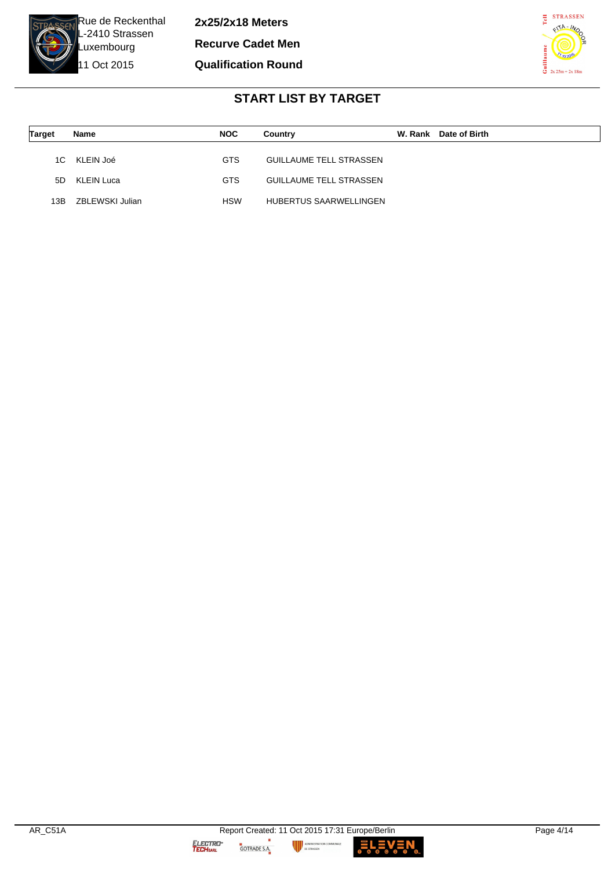

**2x25/2x18 Meters Recurve Cadet Men Qualification Round**



# **START LIST BY TARGET**

| <b>Target</b> | Name            | <b>NOC</b> | Country                        | W. Rank | Date of Birth |
|---------------|-----------------|------------|--------------------------------|---------|---------------|
| 1C -          | KLEIN Joé       | <b>GTS</b> | <b>GUILLAUME TELL STRASSEN</b> |         |               |
| 5D.           | KLEIN Luca      | GTS        | <b>GUILLAUME TELL STRASSEN</b> |         |               |
| 13B           | ZBLEWSKI Julian | <b>HSW</b> | HUBERTUS SAARWELLINGEN         |         |               |

**MUNALE** 

**LEV**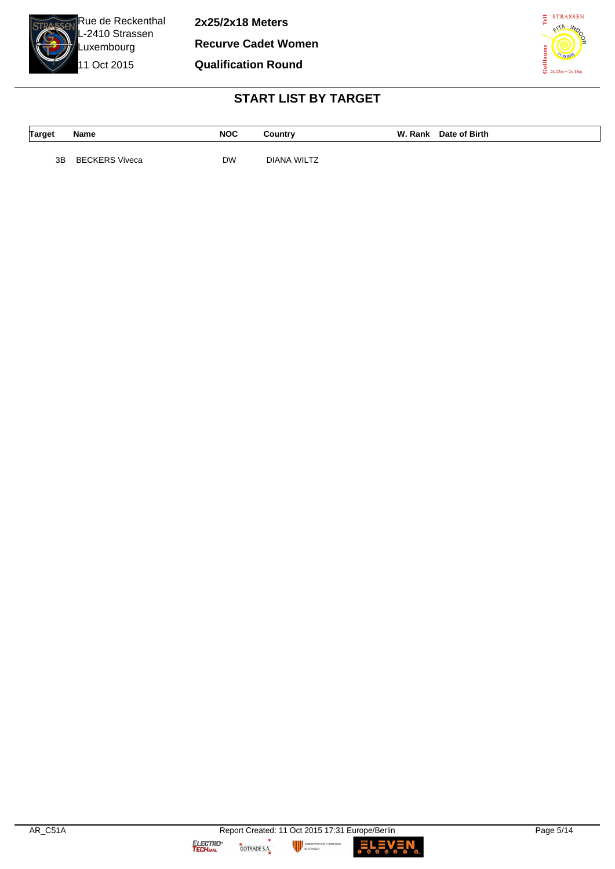

**2x25/2x18 Meters**

**Recurve Cadet Women**

**Qualification Round**



# **START LIST BY TARGET**

| <b>Target</b> | Name | <b>NOC</b> | ountry: | W. Rank | Date of Birth |
|---------------|------|------------|---------|---------|---------------|
|               |      |            |         |         |               |

3B BECKERS Viveca DW DIANA WILTZ

GOTRADE S.A.

LEN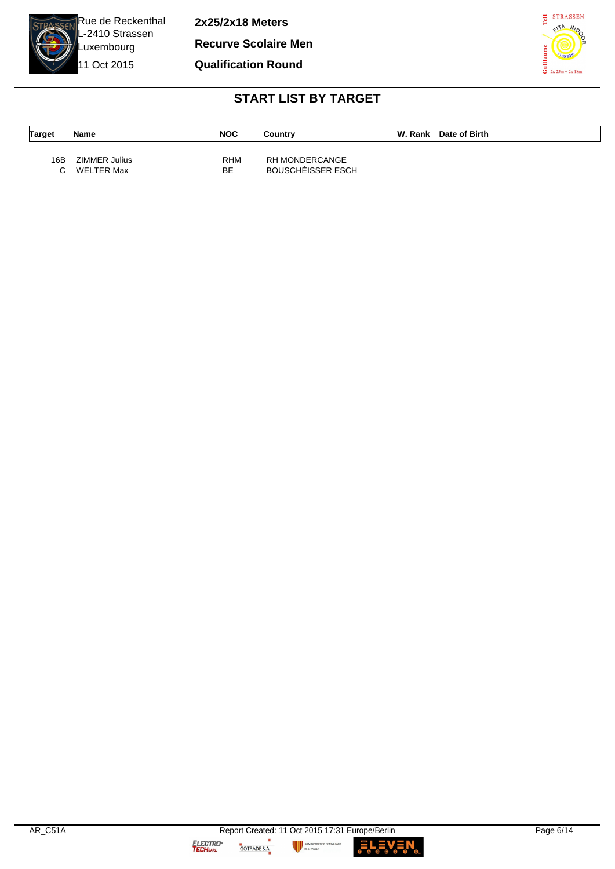

11 Oct 2015

**2x25/2x18 Meters**

**Recurve Scolaire Men**

**Qualification Round**



# **START LIST BY TARGET**

| <b>Target</b> | Name                        | <b>NOC</b>        | Country                             | W. Rank Date of Birth |
|---------------|-----------------------------|-------------------|-------------------------------------|-----------------------|
| 16B<br>C.     | ZIMMER Julius<br>WELTER Max | <b>RHM</b><br>BE. | RH MONDERCANGE<br>BOUSCHÉISSER ESCH |                       |

OMMUNALE

**LE**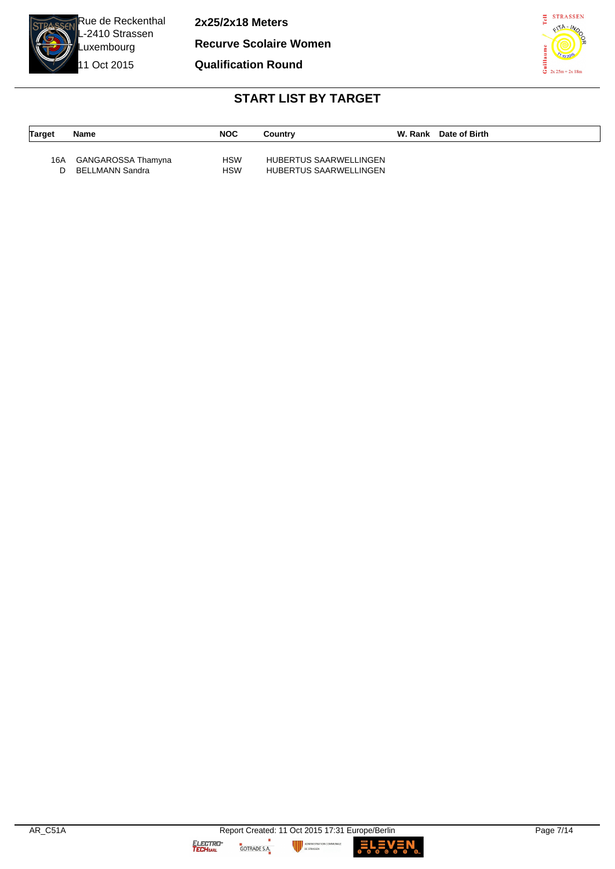

**2x25/2x18 Meters**

**Recurve Scolaire Women**

**Qualification Round**



# **START LIST BY TARGET**

| <b>Target</b> | Name               | <b>NOC</b> | Country                | W. Rank Date of Birth |
|---------------|--------------------|------------|------------------------|-----------------------|
| 16A           | GANGAROSSA Thamyna | <b>HSW</b> | HUBERTUS SAARWELLINGEN |                       |
| n             | BELLMANN Sandra    | <b>HSW</b> | HUBERTUS SAARWELLINGEN |                       |

ш

GOTRADE S.A.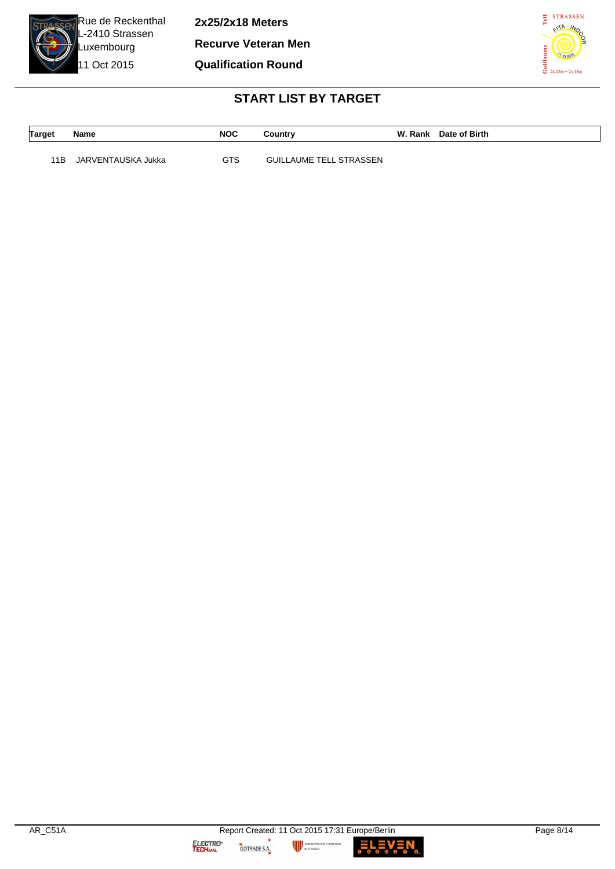

**2x25/2x18 Meters Recurve Veteran Men Qualification Round**



# **START LIST BY TARGET**

| Target | <b>Name</b>        | <b>NOC</b> | Country                        | W. Rank Date of Birth |
|--------|--------------------|------------|--------------------------------|-----------------------|
|        |                    |            |                                |                       |
| 11B    | JARVENTAUSKA Jukka | GTS        | <b>GUILLAUME TELL STRASSEN</b> |                       |

**MUNALE** 

L EV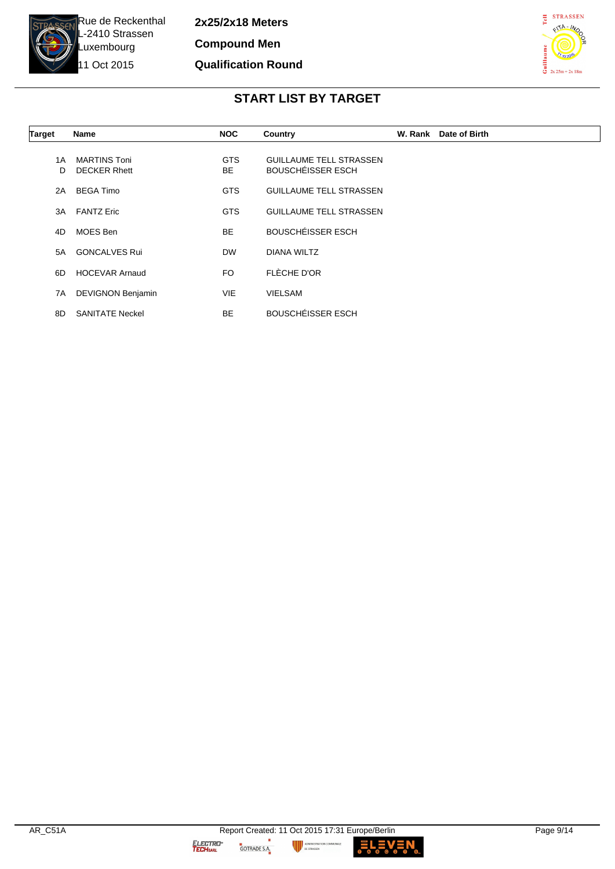

**2x25/2x18 Meters Compound Men Qualification Round**



# **START LIST BY TARGET**

| Target   | <b>Name</b>                         | <b>NOC</b>              | Country                                                    | W. Rank | Date of Birth |
|----------|-------------------------------------|-------------------------|------------------------------------------------------------|---------|---------------|
| 1 A<br>D | MARTINS Toni<br><b>DECKER Rhett</b> | <b>GTS</b><br><b>BE</b> | <b>GUILLAUME TELL STRASSEN</b><br><b>BOUSCHÉISSER ESCH</b> |         |               |
| 2A       | <b>BEGA Timo</b>                    | <b>GTS</b>              | <b>GUILLAUME TELL STRASSEN</b>                             |         |               |
| 3A       | <b>FANTZ Eric</b>                   | <b>GTS</b>              | <b>GUILLAUME TELL STRASSEN</b>                             |         |               |
| 4D       | MOES Ben                            | <b>BE</b>               | <b>BOUSCHÉISSER ESCH</b>                                   |         |               |
| 5A       | <b>GONCALVES Rui</b>                | <b>DW</b>               | <b>DIANA WILTZ</b>                                         |         |               |
| 6D       | <b>HOCEVAR Arnaud</b>               | FO.                     | FLÈCHE D'OR                                                |         |               |
| 7A       | <b>DEVIGNON Benjamin</b>            | <b>VIE</b>              | <b>VIELSAM</b>                                             |         |               |
| 8D       | <b>SANITATE Neckel</b>              | <b>BE</b>               | <b>BOUSCHÉISSER ESCH</b>                                   |         |               |

**MUNALE**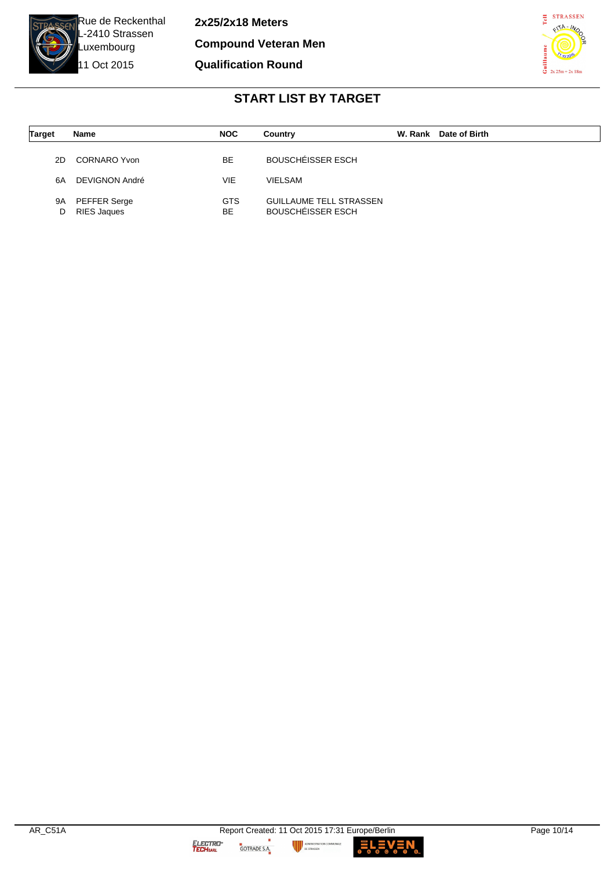

**2x25/2x18 Meters Compound Veteran Men Qualification Round**



#### **START LIST BY TARGET**

| <b>Target</b> | Name                        | <b>NOC</b>       | Country                                                    | W. Rank Date of Birth |
|---------------|-----------------------------|------------------|------------------------------------------------------------|-----------------------|
| 2D            | CORNARO Yvon                | BE               | <b>BOUSCHÉISSER ESCH</b>                                   |                       |
| 6A            | DEVIGNON André              | VIE              | <b>VIELSAM</b>                                             |                       |
| 9A<br>D       | PEFFER Serge<br>RIES Jaques | <b>GTS</b><br>BE | <b>GUILLAUME TELL STRASSEN</b><br><b>BOUSCHEISSER ESCH</b> |                       |

**MUNALE** 

**ELEV**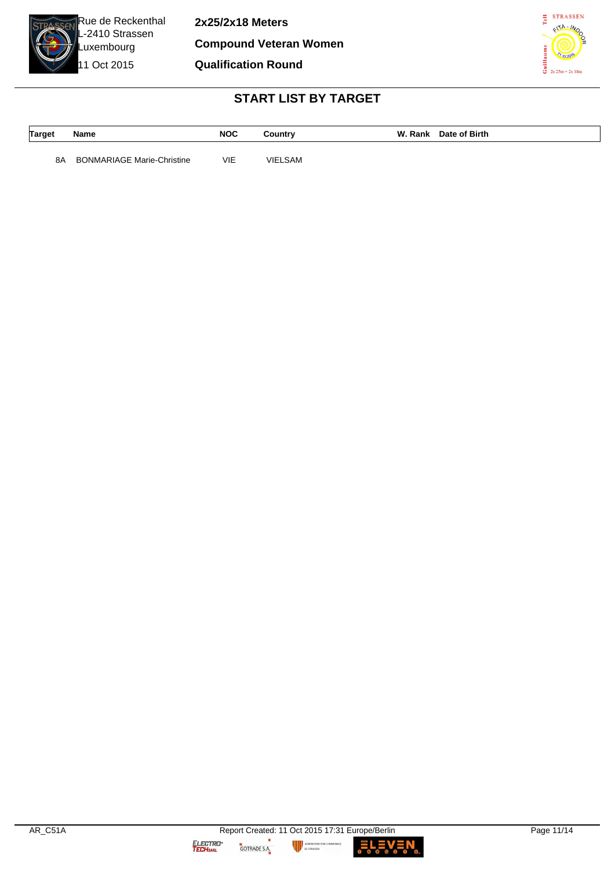

**2x25/2x18 Meters Compound Veteran Women Qualification Round**



# **START LIST BY TARGET**

| <b>Target</b> | Name | <b>NOC</b> | Country | W. Rank | Date of Birth |
|---------------|------|------------|---------|---------|---------------|
|               |      |            |         |         |               |

8A BONMARIAGE Marie-Christine VIE VIELSAM

GOTRADE S.A.

LEN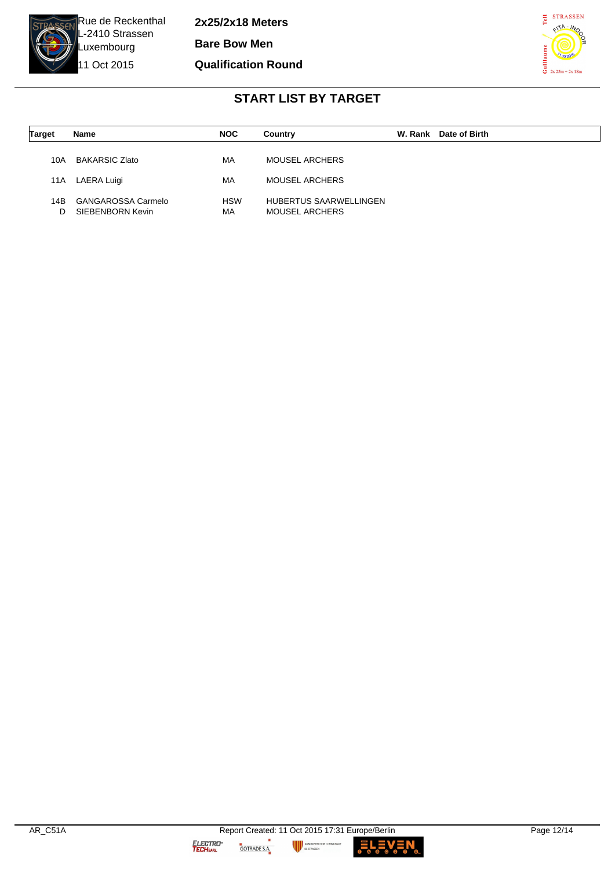

**2x25/2x18 Meters Bare Bow Men**

#### **Qualification Round**



#### **START LIST BY TARGET**

| Target | Name                  | <b>NOC</b> | Country                | W. Rank | Date of Birth |
|--------|-----------------------|------------|------------------------|---------|---------------|
|        |                       |            |                        |         |               |
| 10A    | <b>BAKARSIC Zlato</b> | МA         | MOUSEL ARCHERS         |         |               |
| 11A    | LAERA Luigi           | МA         | MOUSEL ARCHERS         |         |               |
|        |                       |            |                        |         |               |
| 14B    | GANGAROSSA Carmelo    | <b>HSW</b> | HUBERTUS SAARWELLINGEN |         |               |
| D      | SIEBENBORN Kevin      | МA         | <b>MOUSEL ARCHERS</b>  |         |               |

-<br>MUNALE

ELEV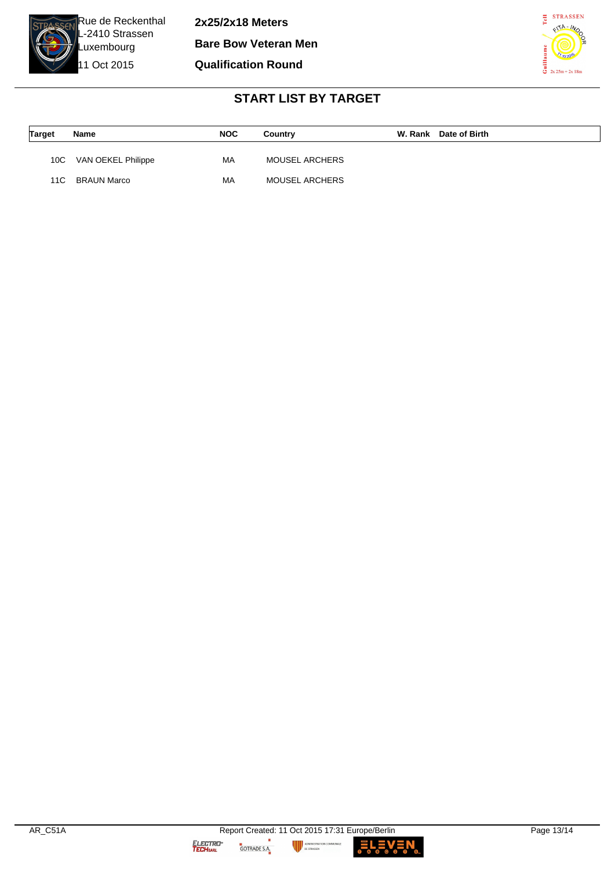

**2x25/2x18 Meters**

**Bare Bow Veteran Men**

**Qualification Round**



# **START LIST BY TARGET**

| <b>Target</b> | Name               | <b>NOC</b> | Country               | W. Rank Date of Birth |
|---------------|--------------------|------------|-----------------------|-----------------------|
| 10C           | VAN OEKEL Philippe | МA         | <b>MOUSEL ARCHERS</b> |                       |
| 11C.          | BRAUN Marco        | MA         | <b>MOUSEL ARCHERS</b> |                       |

**MUNALE** 

L EV